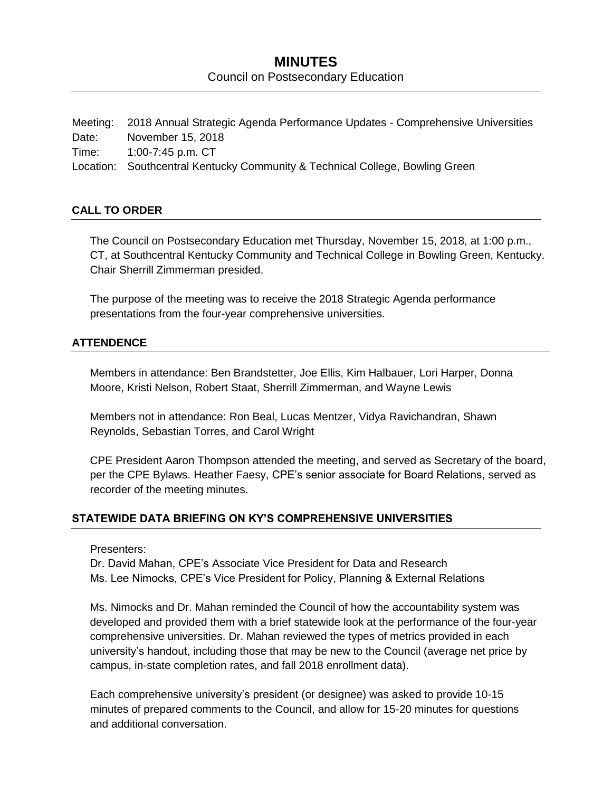# **MINUTES** Council on Postsecondary Education

Meeting: 2018 Annual Strategic Agenda Performance Updates - Comprehensive Universities Date: November 15, 2018 Time: 1:00-7:45 p.m. CT Location: Southcentral Kentucky Community & Technical College, Bowling Green

#### **CALL TO ORDER**

The Council on Postsecondary Education met Thursday, November 15, 2018, at 1:00 p.m., CT, at Southcentral Kentucky Community and Technical College in Bowling Green, Kentucky. Chair Sherrill Zimmerman presided.

The purpose of the meeting was to receive the 2018 Strategic Agenda performance presentations from the four-year comprehensive universities.

#### **ATTENDENCE**

Members in attendance: Ben Brandstetter, Joe Ellis, Kim Halbauer, Lori Harper, Donna Moore, Kristi Nelson, Robert Staat, Sherrill Zimmerman, and Wayne Lewis

Members not in attendance: Ron Beal, Lucas Mentzer, Vidya Ravichandran, Shawn Reynolds, Sebastian Torres, and Carol Wright

CPE President Aaron Thompson attended the meeting, and served as Secretary of the board, per the CPE Bylaws. Heather Faesy, CPE's senior associate for Board Relations, served as recorder of the meeting minutes.

## **STATEWIDE DATA BRIEFING ON KY'S COMPREHENSIVE UNIVERSITIES**

#### Presenters:

Dr. David Mahan, CPE's Associate Vice President for Data and Research Ms. Lee Nimocks, CPE's Vice President for Policy, Planning & External Relations

Ms. Nimocks and Dr. Mahan reminded the Council of how the accountability system was developed and provided them with a brief statewide look at the performance of the four-year comprehensive universities. Dr. Mahan reviewed the types of metrics provided in each university's handout, including those that may be new to the Council (average net price by campus, in-state completion rates, and fall 2018 enrollment data).

Each comprehensive university's president (or designee) was asked to provide 10-15 minutes of prepared comments to the Council, and allow for 15-20 minutes for questions and additional conversation.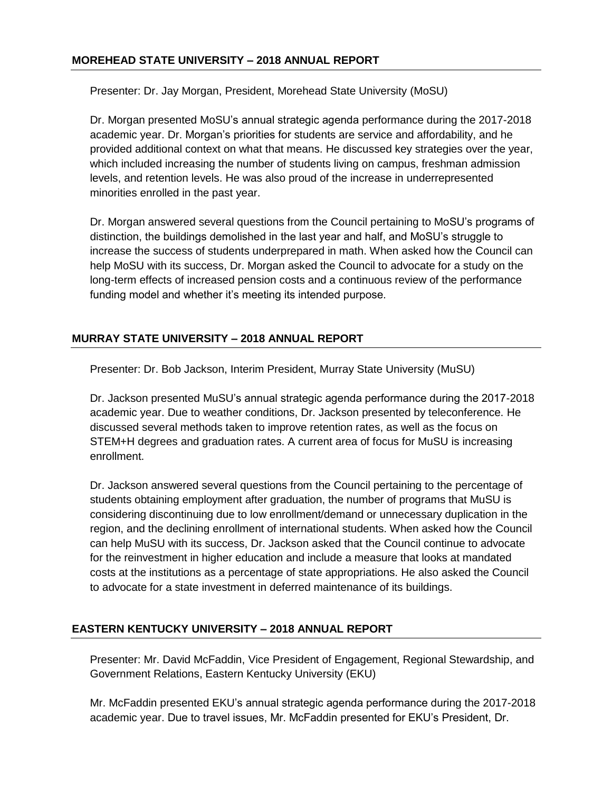Presenter: Dr. Jay Morgan, President, Morehead State University (MoSU)

Dr. Morgan presented MoSU's annual strategic agenda performance during the 2017-2018 academic year. Dr. Morgan's priorities for students are service and affordability, and he provided additional context on what that means. He discussed key strategies over the year, which included increasing the number of students living on campus, freshman admission levels, and retention levels. He was also proud of the increase in underrepresented minorities enrolled in the past year.

Dr. Morgan answered several questions from the Council pertaining to MoSU's programs of distinction, the buildings demolished in the last year and half, and MoSU's struggle to increase the success of students underprepared in math. When asked how the Council can help MoSU with its success, Dr. Morgan asked the Council to advocate for a study on the long-term effects of increased pension costs and a continuous review of the performance funding model and whether it's meeting its intended purpose.

# **MURRAY STATE UNIVERSITY – 2018 ANNUAL REPORT**

Presenter: Dr. Bob Jackson, Interim President, Murray State University (MuSU)

Dr. Jackson presented MuSU's annual strategic agenda performance during the 2017-2018 academic year. Due to weather conditions, Dr. Jackson presented by teleconference. He discussed several methods taken to improve retention rates, as well as the focus on STEM+H degrees and graduation rates. A current area of focus for MuSU is increasing enrollment.

Dr. Jackson answered several questions from the Council pertaining to the percentage of students obtaining employment after graduation, the number of programs that MuSU is considering discontinuing due to low enrollment/demand or unnecessary duplication in the region, and the declining enrollment of international students. When asked how the Council can help MuSU with its success, Dr. Jackson asked that the Council continue to advocate for the reinvestment in higher education and include a measure that looks at mandated costs at the institutions as a percentage of state appropriations. He also asked the Council to advocate for a state investment in deferred maintenance of its buildings.

# **EASTERN KENTUCKY UNIVERSITY – 2018 ANNUAL REPORT**

Presenter: Mr. David McFaddin, Vice President of Engagement, Regional Stewardship, and Government Relations, Eastern Kentucky University (EKU)

Mr. McFaddin presented EKU's annual strategic agenda performance during the 2017-2018 academic year. Due to travel issues, Mr. McFaddin presented for EKU's President, Dr.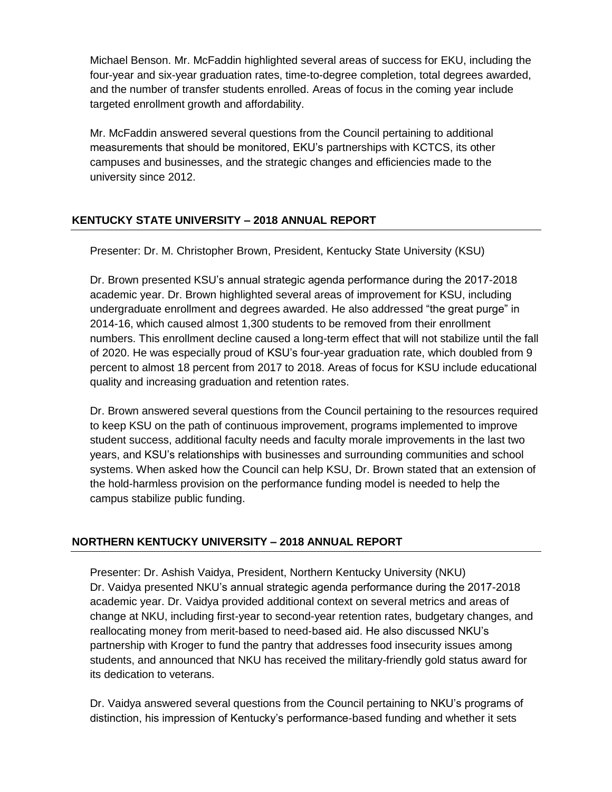Michael Benson. Mr. McFaddin highlighted several areas of success for EKU, including the four-year and six-year graduation rates, time-to-degree completion, total degrees awarded, and the number of transfer students enrolled. Areas of focus in the coming year include targeted enrollment growth and affordability.

Mr. McFaddin answered several questions from the Council pertaining to additional measurements that should be monitored, EKU's partnerships with KCTCS, its other campuses and businesses, and the strategic changes and efficiencies made to the university since 2012.

## **KENTUCKY STATE UNIVERSITY – 2018 ANNUAL REPORT**

Presenter: Dr. M. Christopher Brown, President, Kentucky State University (KSU)

Dr. Brown presented KSU's annual strategic agenda performance during the 2017-2018 academic year. Dr. Brown highlighted several areas of improvement for KSU, including undergraduate enrollment and degrees awarded. He also addressed "the great purge" in 2014-16, which caused almost 1,300 students to be removed from their enrollment numbers. This enrollment decline caused a long-term effect that will not stabilize until the fall of 2020. He was especially proud of KSU's four-year graduation rate, which doubled from 9 percent to almost 18 percent from 2017 to 2018. Areas of focus for KSU include educational quality and increasing graduation and retention rates.

Dr. Brown answered several questions from the Council pertaining to the resources required to keep KSU on the path of continuous improvement, programs implemented to improve student success, additional faculty needs and faculty morale improvements in the last two years, and KSU's relationships with businesses and surrounding communities and school systems. When asked how the Council can help KSU, Dr. Brown stated that an extension of the hold-harmless provision on the performance funding model is needed to help the campus stabilize public funding.

## **NORTHERN KENTUCKY UNIVERSITY – 2018 ANNUAL REPORT**

Presenter: Dr. Ashish Vaidya, President, Northern Kentucky University (NKU) Dr. Vaidya presented NKU's annual strategic agenda performance during the 2017-2018 academic year. Dr. Vaidya provided additional context on several metrics and areas of change at NKU, including first-year to second-year retention rates, budgetary changes, and reallocating money from merit-based to need-based aid. He also discussed NKU's partnership with Kroger to fund the pantry that addresses food insecurity issues among students, and announced that NKU has received the military-friendly gold status award for its dedication to veterans.

Dr. Vaidya answered several questions from the Council pertaining to NKU's programs of distinction, his impression of Kentucky's performance-based funding and whether it sets